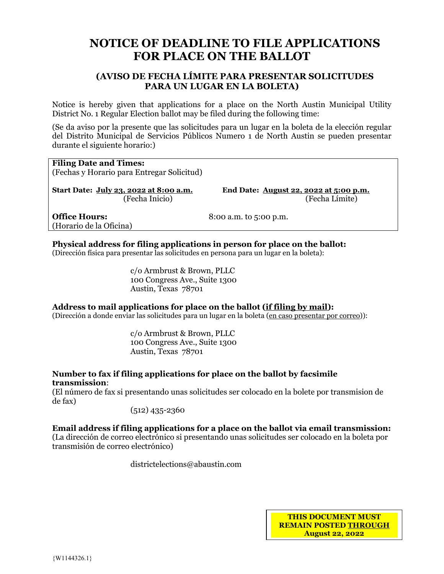# **NOTICE OF DEADLINE TO FILE APPLICATIONS FOR PLACE ON THE BALLOT**

### **(AVISO DE FECHA LÍMITE PARA PRESENTAR SOLICITUDES PARA UN LUGAR EN LA BOLETA)**

Notice is hereby given that applications for a place on the North Austin Municipal Utility District No. 1 Regular Election ballot may be filed during the following time:

(Se da aviso por la presente que las solicitudes para un lugar en la boleta de la elección regular del Distrito Municipal de Servicios Públicos Numero 1 de North Austin se pueden presentar durante el siguiente horario:)

## **Filing Date and Times:** (Fechas y Horario para Entregar Solicitud) **Start Date: July 23, 2022 at 8:00 a.m. End Date: August 22, 2022 at 5:00 p.m.**

(Fecha Inicio)(Fecha Límite)

**Office Hours:** 8:00 a.m. to 5:00 p.m. (Horario de la Oficina)

#### **Physical address for filing applications in person for place on the ballot:**

(Dirección física para presentar las solicitudes en persona para un lugar en la boleta):

c/o Armbrust & Brown, PLLC 100 Congress Ave., Suite 1300 Austin, Texas 78701

#### **Address to mail applications for place on the ballot (if filing by mail):**

(Dirección a donde enviar las solicitudes para un lugar en la boleta (en caso presentar por correo)):

c/o Armbrust & Brown, PLLC 100 Congress Ave., Suite 1300 Austin, Texas 78701

#### **Number to fax if filing applications for place on the ballot by facsimile transmission**:

(El número de fax si presentando unas solicitudes ser colocado en la bolete por transmision de de fax)

(512) 435-2360

#### **Email address if filing applications for a place on the ballot via email transmission:**

(La dirección de correo electrónico si presentando unas solicitudes ser colocado en la boleta por transmisión de correo electrónico)

districtelections@abaustin.com